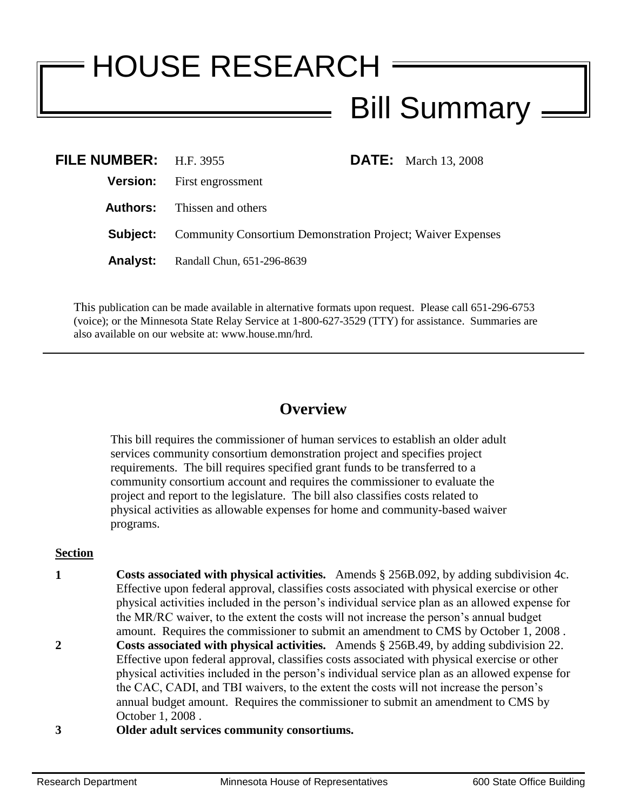# HOUSE RESEARCH Bill Summary

| FILE NUMBER: H.F. 3955 |                                                                    |  | <b>DATE:</b> March 13, 2008 |
|------------------------|--------------------------------------------------------------------|--|-----------------------------|
|                        | <b>Version:</b> First engrossment                                  |  |                             |
|                        | <b>Authors:</b> Thissen and others                                 |  |                             |
| Subject:               | <b>Community Consortium Demonstration Project; Waiver Expenses</b> |  |                             |
|                        | <b>Analyst:</b> Randall Chun, 651-296-8639                         |  |                             |

This publication can be made available in alternative formats upon request. Please call 651-296-6753 (voice); or the Minnesota State Relay Service at 1-800-627-3529 (TTY) for assistance. Summaries are also available on our website at: www.house.mn/hrd.

## **Overview**

This bill requires the commissioner of human services to establish an older adult services community consortium demonstration project and specifies project requirements. The bill requires specified grant funds to be transferred to a community consortium account and requires the commissioner to evaluate the project and report to the legislature. The bill also classifies costs related to physical activities as allowable expenses for home and community-based waiver programs.

### **Section**

- **1 Costs associated with physical activities.** Amends § 256B.092, by adding subdivision 4c. Effective upon federal approval, classifies costs associated with physical exercise or other physical activities included in the person's individual service plan as an allowed expense for the MR/RC waiver, to the extent the costs will not increase the person's annual budget amount. Requires the commissioner to submit an amendment to CMS by October 1, 2008 . **2 Costs associated with physical activities.** Amends § 256B.49, by adding subdivision 22. Effective upon federal approval, classifies costs associated with physical exercise or other physical activities included in the person's individual service plan as an allowed expense for the CAC, CADI, and TBI waivers, to the extent the costs will not increase the person's annual budget amount. Requires the commissioner to submit an amendment to CMS by
- **3 Older adult services community consortiums.**

October 1, 2008 .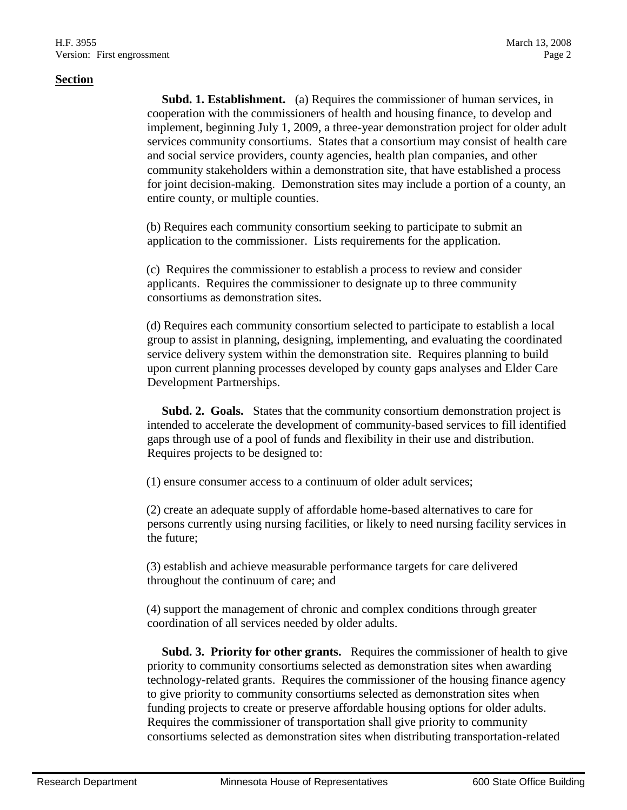**Subd. 1. Establishment.** (a) Requires the commissioner of human services, in cooperation with the commissioners of health and housing finance, to develop and implement, beginning July 1, 2009, a three-year demonstration project for older adult services community consortiums. States that a consortium may consist of health care and social service providers, county agencies, health plan companies, and other community stakeholders within a demonstration site, that have established a process for joint decision-making. Demonstration sites may include a portion of a county, an entire county, or multiple counties.

(b) Requires each community consortium seeking to participate to submit an application to the commissioner. Lists requirements for the application.

(c) Requires the commissioner to establish a process to review and consider applicants. Requires the commissioner to designate up to three community consortiums as demonstration sites.

(d) Requires each community consortium selected to participate to establish a local group to assist in planning, designing, implementing, and evaluating the coordinated service delivery system within the demonstration site. Requires planning to build upon current planning processes developed by county gaps analyses and Elder Care Development Partnerships.

**Subd. 2. Goals.** States that the community consortium demonstration project is intended to accelerate the development of community-based services to fill identified gaps through use of a pool of funds and flexibility in their use and distribution. Requires projects to be designed to:

(1) ensure consumer access to a continuum of older adult services;

(2) create an adequate supply of affordable home-based alternatives to care for persons currently using nursing facilities, or likely to need nursing facility services in the future;

(3) establish and achieve measurable performance targets for care delivered throughout the continuum of care; and

(4) support the management of chronic and complex conditions through greater coordination of all services needed by older adults.

 **Subd. 3. Priority for other grants.** Requires the commissioner of health to give priority to community consortiums selected as demonstration sites when awarding technology-related grants. Requires the commissioner of the housing finance agency to give priority to community consortiums selected as demonstration sites when funding projects to create or preserve affordable housing options for older adults. Requires the commissioner of transportation shall give priority to community consortiums selected as demonstration sites when distributing transportation-related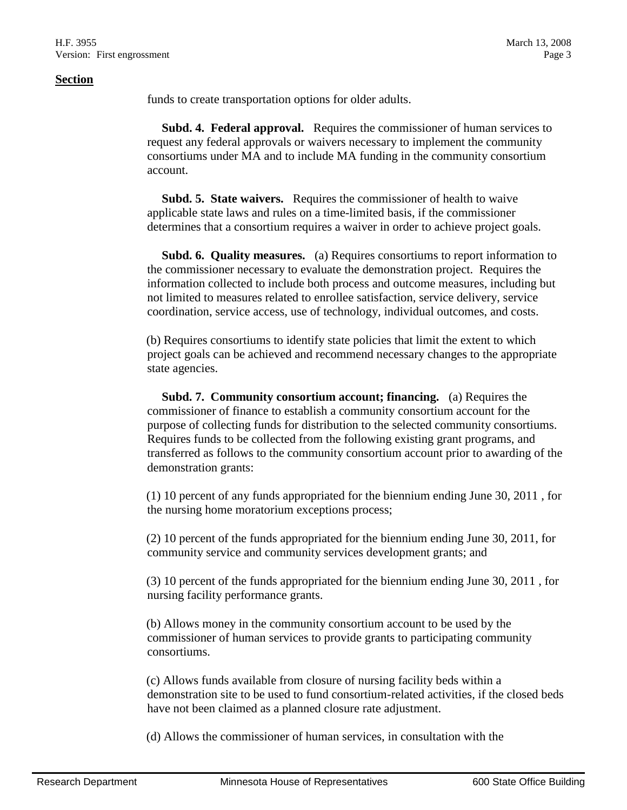#### **Section**

funds to create transportation options for older adults.

 **Subd. 4. Federal approval.** Requires the commissioner of human services to request any federal approvals or waivers necessary to implement the community consortiums under MA and to include MA funding in the community consortium account.

 **Subd. 5. State waivers.** Requires the commissioner of health to waive applicable state laws and rules on a time-limited basis, if the commissioner determines that a consortium requires a waiver in order to achieve project goals.

 **Subd. 6. Quality measures.** (a) Requires consortiums to report information to the commissioner necessary to evaluate the demonstration project. Requires the information collected to include both process and outcome measures, including but not limited to measures related to enrollee satisfaction, service delivery, service coordination, service access, use of technology, individual outcomes, and costs.

(b) Requires consortiums to identify state policies that limit the extent to which project goals can be achieved and recommend necessary changes to the appropriate state agencies.

 **Subd. 7. Community consortium account; financing.** (a) Requires the commissioner of finance to establish a community consortium account for the purpose of collecting funds for distribution to the selected community consortiums. Requires funds to be collected from the following existing grant programs, and transferred as follows to the community consortium account prior to awarding of the demonstration grants:

(1) 10 percent of any funds appropriated for the biennium ending June 30, 2011 , for the nursing home moratorium exceptions process;

(2) 10 percent of the funds appropriated for the biennium ending June 30, 2011, for community service and community services development grants; and

(3) 10 percent of the funds appropriated for the biennium ending June 30, 2011 , for nursing facility performance grants.

(b) Allows money in the community consortium account to be used by the commissioner of human services to provide grants to participating community consortiums.

(c) Allows funds available from closure of nursing facility beds within a demonstration site to be used to fund consortium-related activities, if the closed beds have not been claimed as a planned closure rate adjustment.

(d) Allows the commissioner of human services, in consultation with the